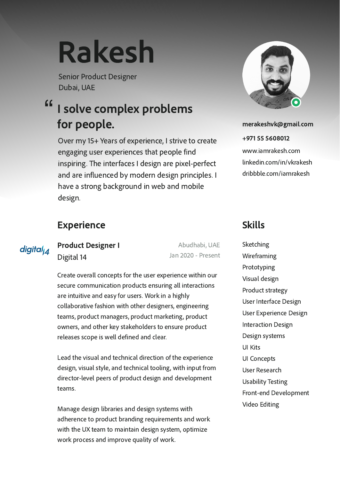# Rakesh

Senior Product Designer Dubai, UAE

## I solve complex problems for people. "

Over my 15+ Years of experience, I strive to create engaging user experiences that people find inspiring. The interfaces I design are pixel-perfect and are influenced by modern design principles. I have a strong background in web and mobile design.

# Experience Skills

digital $\vert_{A}$ 

Digital 14 Product Designer I

Abudhabi, UAE Jan 2020 - Present

Create overall concepts for the user experience within our secure communication products ensuring all interactions are intuitive and easy for users. Work in a highly collaborative fashion with other designers, engineering teams, product managers, product marketing, product owners, and other key stakeholders to ensure product releases scope is well defined and clear.

Lead the visual and technical direction of the experience design, visual style, and technical tooling, with input from director-level peers of product design and development teams.

Manage design libraries and design systems with adherence to product branding requirements and work with the UX team to maintain design system, optimize work process and improve quality of work.



merakeshvk@gmail.com

www.iamrakesh.com linkedin.com/in/vkrakesh dribbble.com/iamrakesh +971 55 5608012

Sketching Wireframing Prototyping Visual design Product strategy User Interface Design User Experience Design Interaction Design Design systems UI Kits UI Concepts User Research Usability Testing Front-end Development Video Editing